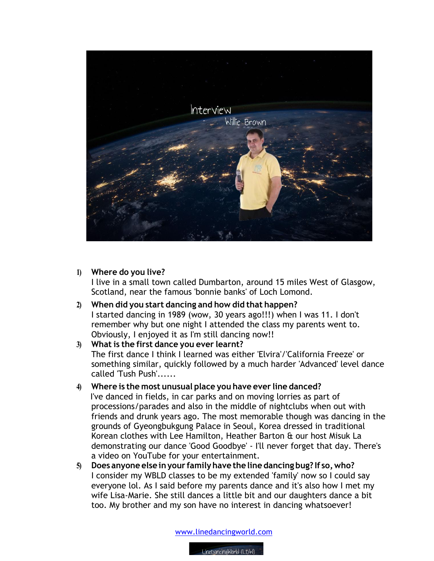

## **1) Where do you live?**

I live in a small town called Dumbarton, around 15 miles West of Glasgow, Scotland, near the famous 'bonnie banks' of Loch Lomond.

**2) When did you start dancing and how did that happen?** I started dancing in 1989 (wow, 30 years ago!!!) when I was 11. I don't remember why but one night I attended the class my parents went to. Obviously, I enjoyed it as I'm still dancing now!!

## **3) What is the first dance you ever learnt?** The first dance I think I learned was either 'Elvira'/'California Freeze' or something similar, quickly followed by a much harder 'Advanced' level dance called 'Tush Push'......

# **4) Where is the most unusual place you have ever line danced?**

 I've danced in fields, in car parks and on moving lorries as part of processions/parades and also in the middle of nightclubs when out with friends and drunk years ago. The most memorable though was dancing in the grounds of Gyeongbukgung Palace in Seoul, Korea dressed in traditional Korean clothes with Lee Hamilton, Heather Barton & our host Misuk La demonstrating our dance 'Good Goodbye' - I'll never forget that day. There's a video on YouTube for your entertainment.

**5) Does anyone else inyour familyhave the line dancing bug? If so,who?** I consider my WBLD classes to be my extended 'family' now so I could say everyone lol. As I said before my parents dance and it's also how I met my wife Lisa-Marie. She still dances a little bit and our daughters dance a bit too. My brother and my son have no interest in dancing whatsoever!

www.linedancingworld.com

LineDancingWorld (LDW)